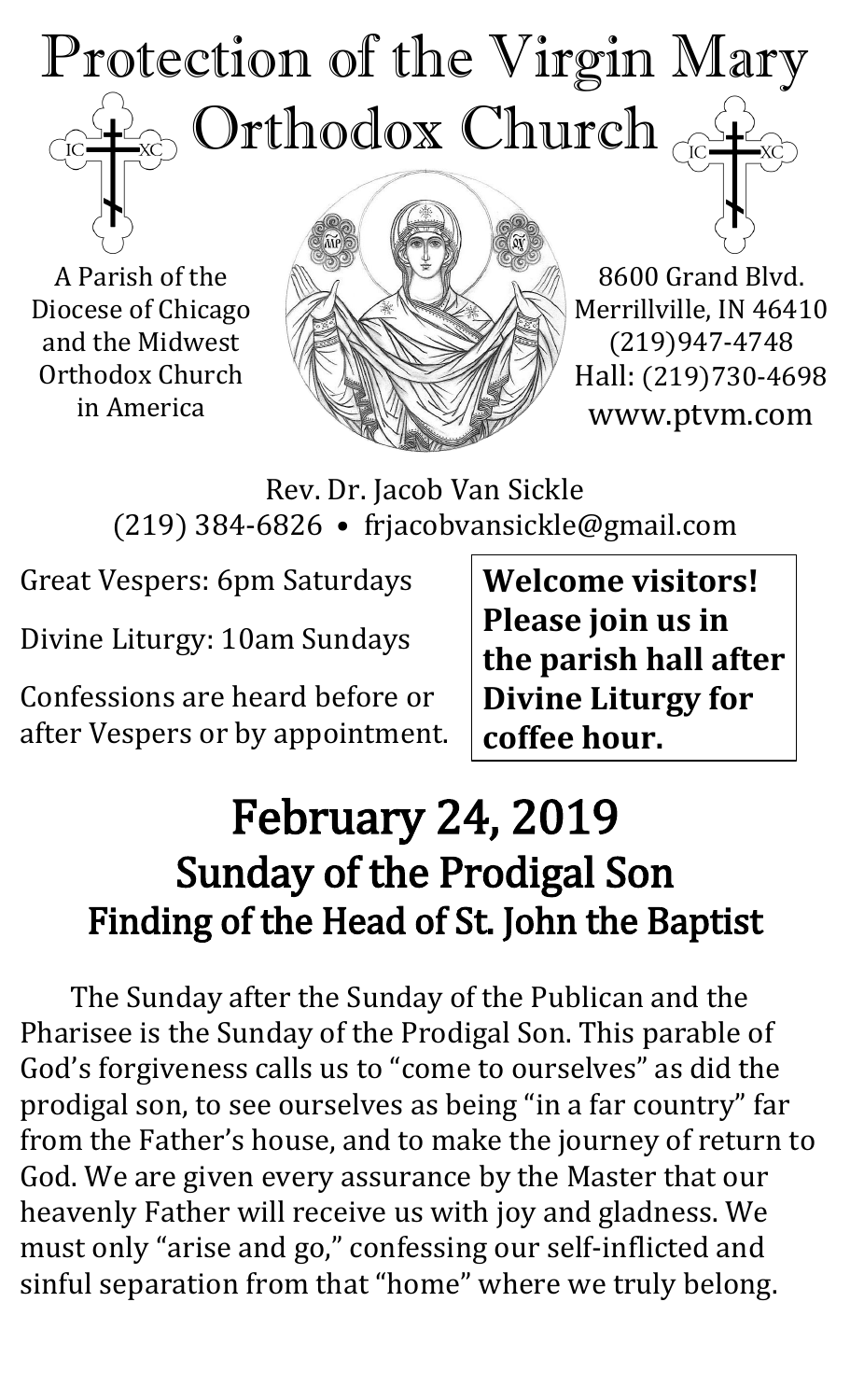## Protection of the Virgin Mary Orthodox Church  $\rm \check{IC}$

A Parish of the Diocese of Chicago and the Midwest Orthodox Church in America



8600 Grand Blvd. Merrillville, IN 46410 (219)947-4748 Hall: (219)730-4698 www.ptvm.com

Rev. Dr. Jacob Van Sickle (219) 384-6826 • frjacobvansickle@gmail.com

Great Vespers: 6pm Saturdays

Divine Liturgy: 10am Sundays

Confessions are heard before or after Vespers or by appointment. **Welcome visitors! Please join us in the parish hall after Divine Liturgy for coffee hour.**

# February 24, 2019 Sunday of the Prodigal Son Finding of the Head of St. John the Baptist

The Sunday after the Sunday of the Publican and the Pharisee is the Sunday of the Prodigal Son. This parable of God's forgiveness calls us to "come to ourselves" as did the prodigal son, to see ourselves as being "in a far country" far from the Father's house, and to make the journey of return to God. We are given every assurance by the Master that our heavenly Father will receive us with joy and gladness. We must only "arise and go," confessing our self-inflicted and sinful separation from that "home" where we truly belong.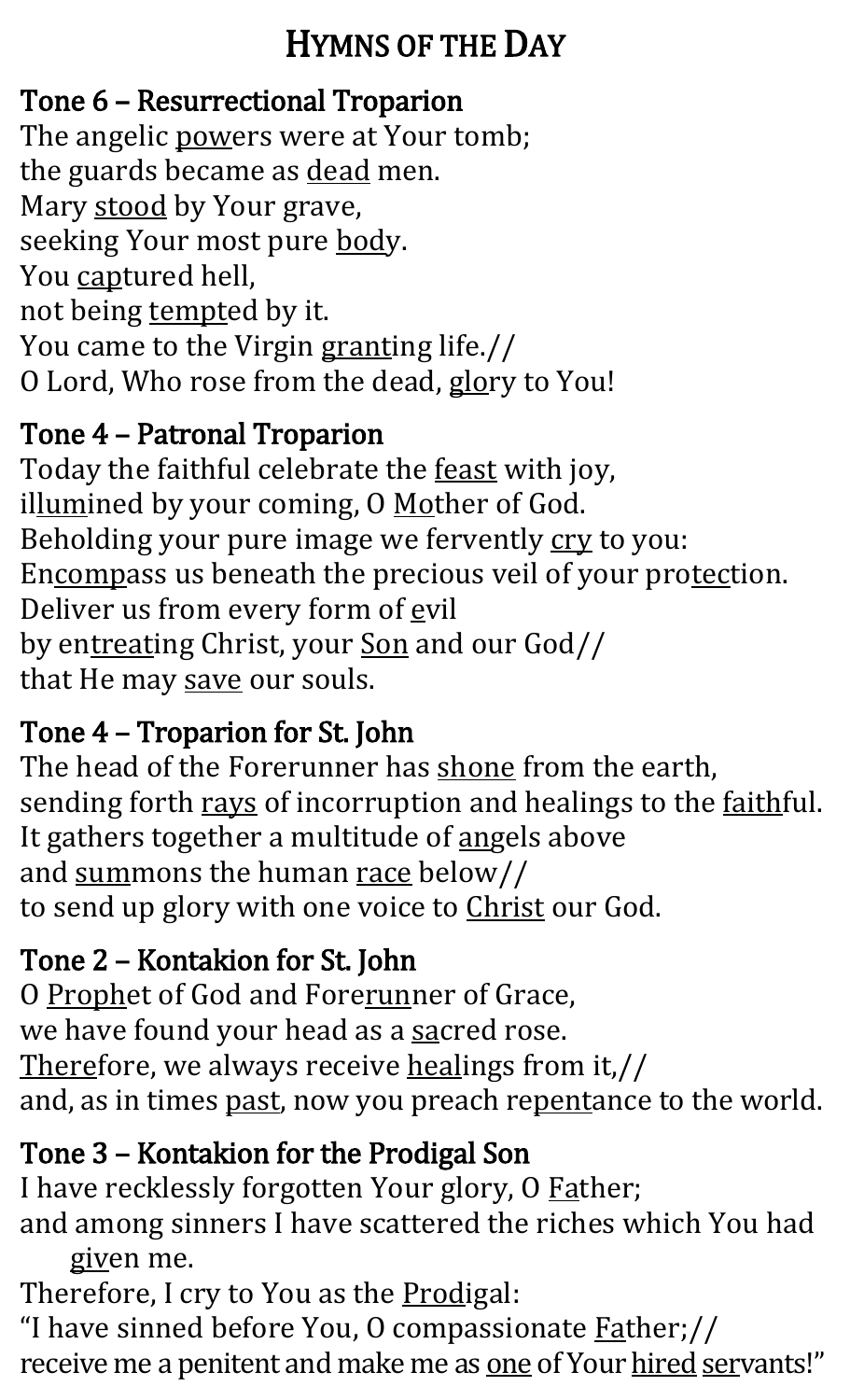## HYMNS OF THE DAY

## Tone 6 – Resurrectional Troparion

The angelic powers were at Your tomb; the guards became as dead men. Mary stood by Your grave, seeking Your most pure body. You captured hell, not being tempted by it. You came to the Virgin granting life.// O Lord, Who rose from the dead, glory to You!

## Tone 4 – Patronal Troparion

Today the faithful celebrate the **feast** with joy, illumined by your coming, O Mother of God. Beholding your pure image we fervently cry to you: Encompass us beneath the precious veil of your protection. Deliver us from every form of evil by entreating Christ, your Son and our God// that He may save our souls.

## Tone 4 – Troparion for St. John

The head of the Forerunner has shone from the earth, sending forth rays of incorruption and healings to the <u>faith</u>ful. It gathers together a multitude of angels above and summons the human race below// to send up glory with one voice to Christ our God.

## Tone 2 – Kontakion for St. John

O Prophet of God and Forerunner of Grace, we have found your head as a sacred rose. Therefore, we always receive healings from it,// and, as in times past, now you preach repentance to the world.

## Tone 3 – Kontakion for the Prodigal Son

I have recklessly forgotten Your glory, O Father; and among sinners I have scattered the riches which You had

given me.

Therefore, I cry to You as the **Prodigal**:

"I have sinned before You, O compassionate **Father;//** receive me a penitent and make me as one of Your hired servants!"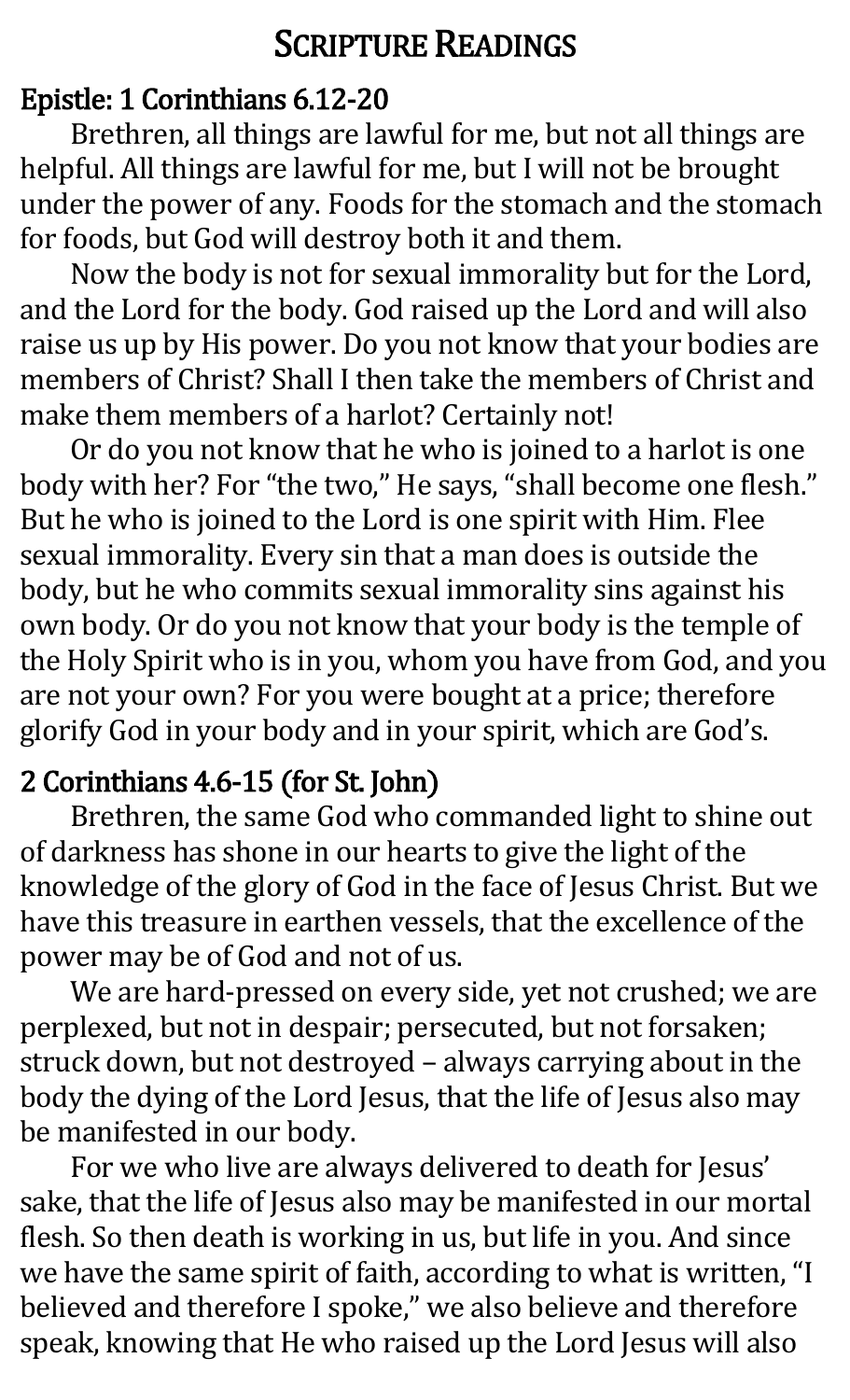## SCRIPTURE READINGS

#### Epistle: 1 Corinthians 6.12-20

Brethren, all things are lawful for me, but not all things are helpful. All things are lawful for me, but I will not be brought under the power of any. Foods for the stomach and the stomach for foods, but God will destroy both it and them.

Now the body is not for sexual immorality but for the Lord, and the Lord for the body. God raised up the Lord and will also raise us up by His power. Do you not know that your bodies are members of Christ? Shall I then take the members of Christ and make them members of a harlot? Certainly not!

Or do you not know that he who is joined to a harlot is one body with her? For "the two," He says, "shall become one flesh." But he who is joined to the Lord is one spirit with Him. Flee sexual immorality. Every sin that a man does is outside the body, but he who commits sexual immorality sins against his own body. Or do you not know that your body is the temple of the Holy Spirit who is in you, whom you have from God, and you are not your own? For you were bought at a price; therefore glorify God in your body and in your spirit, which are God's.

#### 2 Corinthians 4.6-15 (for St. John)

Brethren, the same God who commanded light to shine out of darkness has shone in our hearts to give the light of the knowledge of the glory of God in the face of Jesus Christ. But we have this treasure in earthen vessels, that the excellence of the power may be of God and not of us.

We are hard-pressed on every side, yet not crushed; we are perplexed, but not in despair; persecuted, but not forsaken; struck down, but not destroyed – always carrying about in the body the dying of the Lord Jesus, that the life of Jesus also may be manifested in our body.

For we who live are always delivered to death for Jesus' sake, that the life of Jesus also may be manifested in our mortal flesh. So then death is working in us, but life in you. And since we have the same spirit of faith, according to what is written, "I believed and therefore I spoke," we also believe and therefore speak, knowing that He who raised up the Lord Jesus will also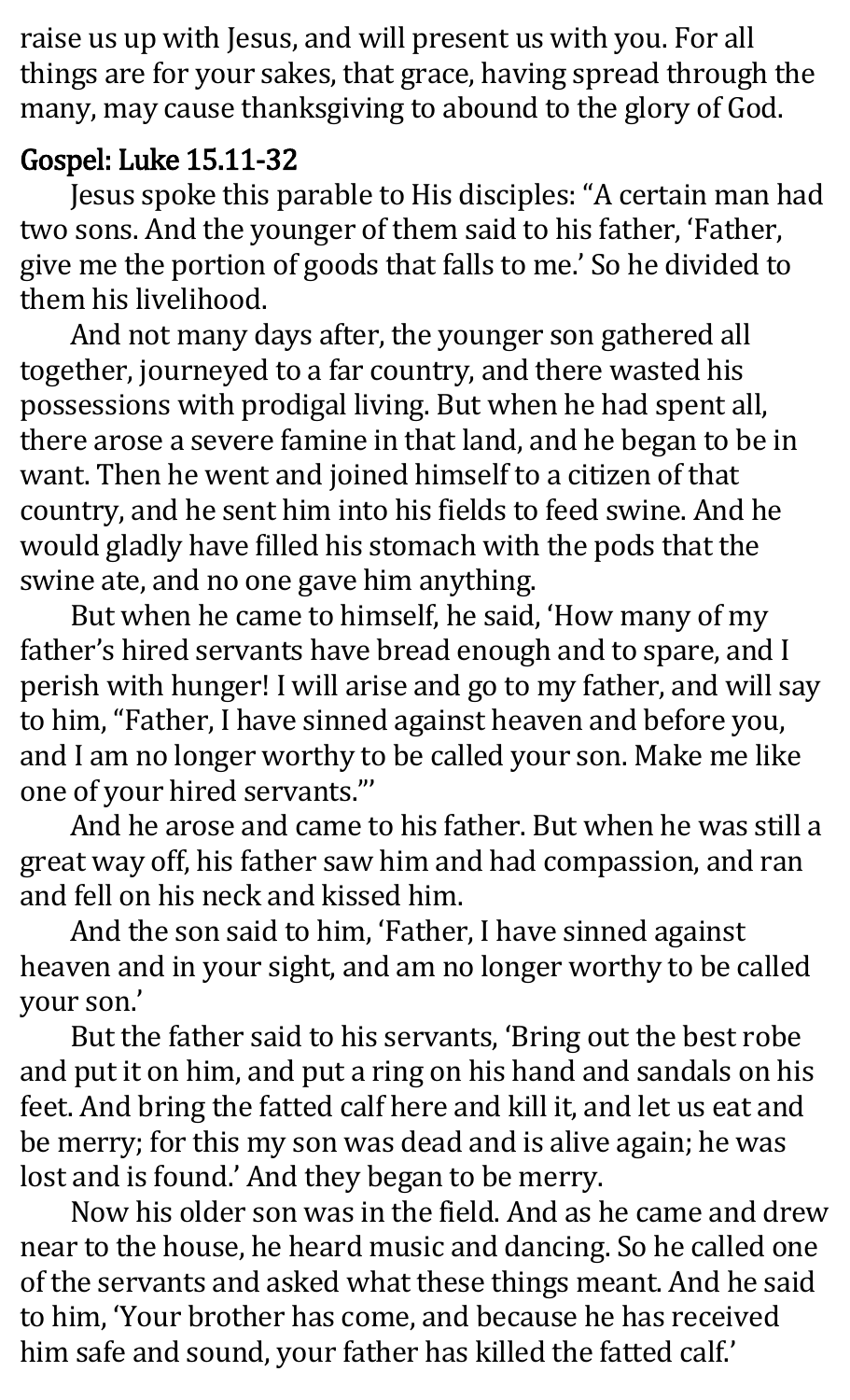raise us up with Jesus, and will present us with you. For all things are for your sakes, that grace, having spread through the many, may cause thanksgiving to abound to the glory of God.

#### Gospel: Luke 15.11-32

Jesus spoke this parable to His disciples: "A certain man had two sons. And the younger of them said to his father, 'Father, give me the portion of goods that falls to me.' So he divided to them his livelihood.

And not many days after, the younger son gathered all together, journeyed to a far country, and there wasted his possessions with prodigal living. But when he had spent all, there arose a severe famine in that land, and he began to be in want. Then he went and joined himself to a citizen of that country, and he sent him into his fields to feed swine. And he would gladly have filled his stomach with the pods that the swine ate, and no one gave him anything.

But when he came to himself, he said, 'How many of my father's hired servants have bread enough and to spare, and I perish with hunger! I will arise and go to my father, and will say to him, "Father, I have sinned against heaven and before you, and I am no longer worthy to be called your son. Make me like one of your hired servants."'

And he arose and came to his father. But when he was still a great way off, his father saw him and had compassion, and ran and fell on his neck and kissed him.

And the son said to him, 'Father, I have sinned against heaven and in your sight, and am no longer worthy to be called your son.'

But the father said to his servants, 'Bring out the best robe and put it on him, and put a ring on his hand and sandals on his feet. And bring the fatted calf here and kill it, and let us eat and be merry; for this my son was dead and is alive again; he was lost and is found.' And they began to be merry.

Now his older son was in the field. And as he came and drew near to the house, he heard music and dancing. So he called one of the servants and asked what these things meant. And he said to him, 'Your brother has come, and because he has received him safe and sound, your father has killed the fatted calf.'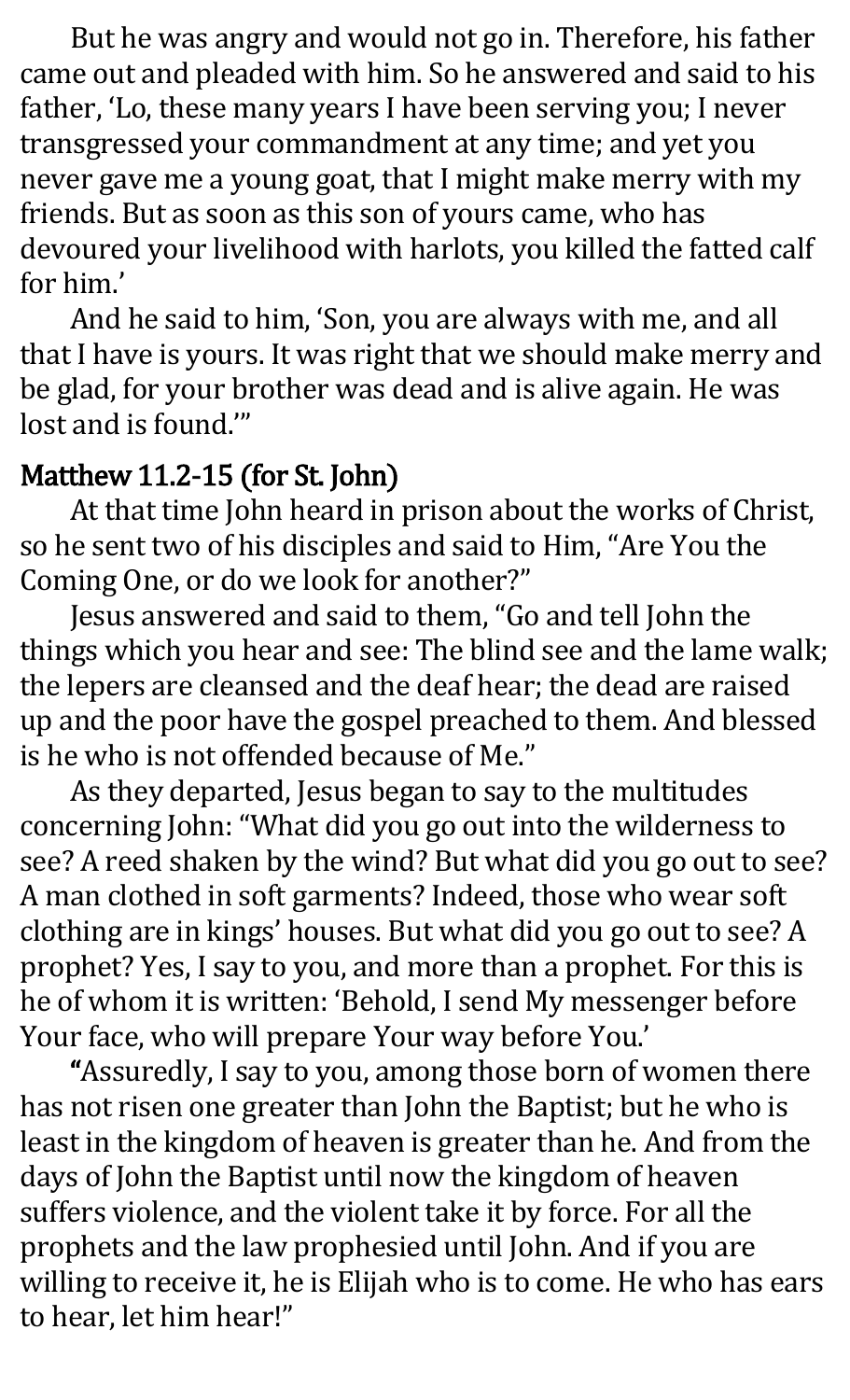But he was angry and would not go in. Therefore, his father came out and pleaded with him. So he answered and said to his father, 'Lo, these many years I have been serving you; I never transgressed your commandment at any time; and yet you never gave me a young goat, that I might make merry with my friends. But as soon as this son of yours came, who has devoured your livelihood with harlots, you killed the fatted calf for him.'

And he said to him, 'Son, you are always with me, and all that I have is yours. It was right that we should make merry and be glad, for your brother was dead and is alive again. He was lost and is found.'"

#### Matthew 11.2-15 (for St. John)

At that time John heard in prison about the works of Christ, so he sent two of his disciples and said to Him, "Are You the Coming One, or do we look for another?"

Jesus answered and said to them, "Go and tell John the things which you hear and see: The blind see and the lame walk; the lepers are cleansed and the deaf hear; the dead are raised up and the poor have the gospel preached to them. And blessed is he who is not offended because of Me."

As they departed, Jesus began to say to the multitudes concerning John: "What did you go out into the wilderness to see? A reed shaken by the wind? But what did you go out to see? A man clothed in soft garments? Indeed, those who wear soft clothing are in kings' houses. But what did you go out to see? A prophet? Yes, I say to you, and more than a prophet. For this is he of whom it is written: 'Behold, I send My messenger before Your face, who will prepare Your way before You.'

"Assuredly, I say to you, among those born of women there has not risen one greater than John the Baptist; but he who is least in the kingdom of heaven is greater than he. And from the days of John the Baptist until now the kingdom of heaven suffers violence, and the violent take it by force. For all the prophets and the law prophesied until John. And if you are willing to receive it, he is Elijah who is to come. He who has ears to hear, let him hear!"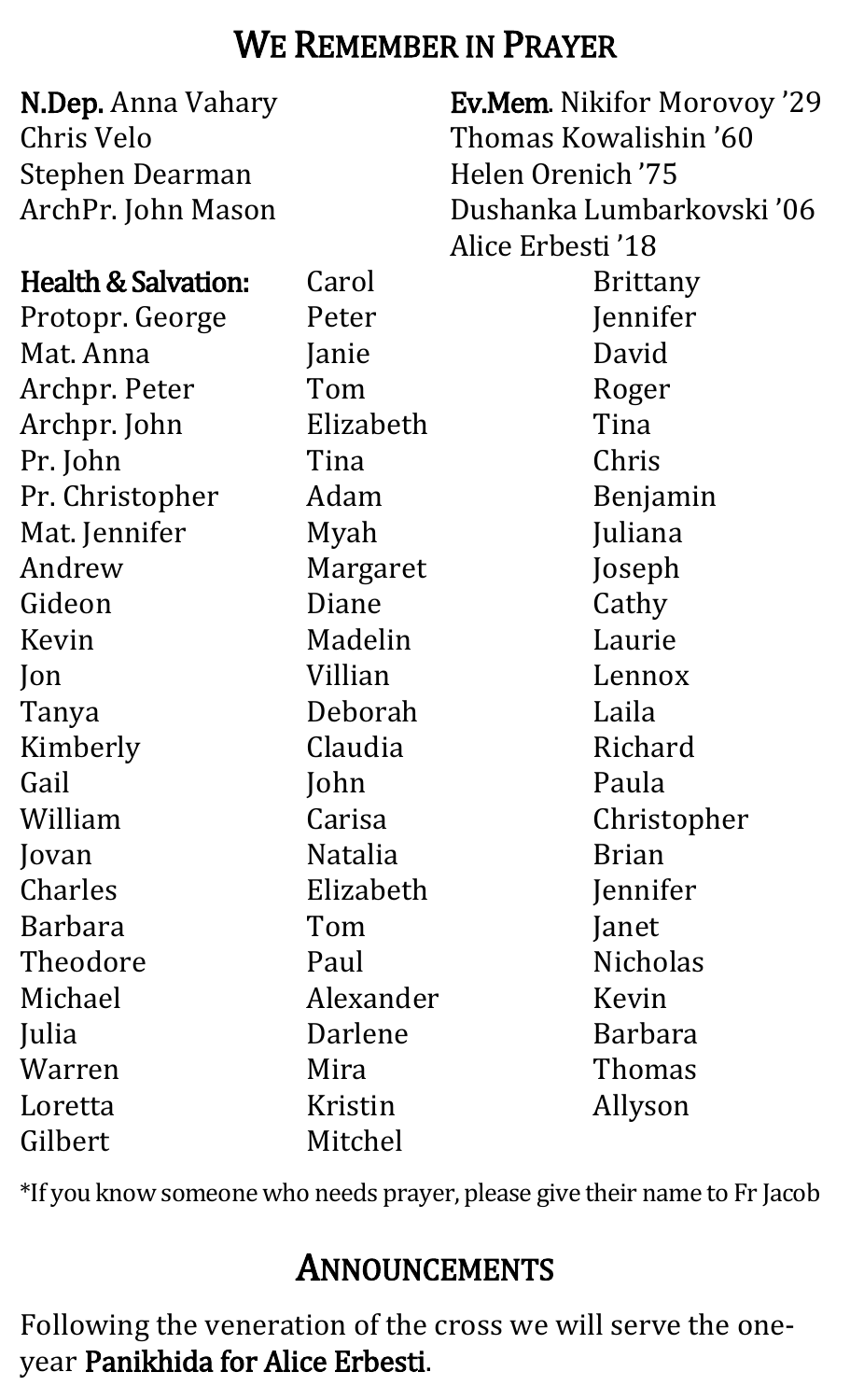## WE REMEMBER IN PRAYER

| <b>N.Dep.</b> Anna Vahary<br>Chris Velo |                | <b>Ev.Mem. Nikifor Morovoy '29</b><br>Thomas Kowalishin '60 |
|-----------------------------------------|----------------|-------------------------------------------------------------|
| <b>Stephen Dearman</b>                  |                | Helen Orenich '75                                           |
| ArchPr. John Mason                      |                | Dushanka Lumbarkovski '06                                   |
|                                         |                | Alice Erbesti '18                                           |
| Health & Salvation:                     | Carol          | <b>Brittany</b>                                             |
| Protopr. George                         | Peter          | Jennifer                                                    |
| Mat. Anna                               | Janie          | David                                                       |
| Archpr. Peter                           | Tom            | Roger                                                       |
| Archpr. John                            | Elizabeth      | Tina                                                        |
| Pr. John                                | Tina           | Chris                                                       |
| Pr. Christopher                         | Adam           | Benjamin                                                    |
| Mat. Jennifer                           | Myah           | Juliana                                                     |
| Andrew                                  | Margaret       | Joseph                                                      |
| Gideon                                  | Diane          | Cathy                                                       |
| Kevin                                   | Madelin        | Laurie                                                      |
| $\mathsf{lon}$                          | Villian        | Lennox                                                      |
| Tanya                                   | Deborah        | Laila                                                       |
| Kimberly                                | Claudia        | Richard                                                     |
| Gail                                    | John           | Paula                                                       |
| William                                 | Carisa         | Christopher                                                 |
| Jovan                                   | <b>Natalia</b> | <b>Brian</b>                                                |
| Charles                                 | Elizabeth      | Jennifer                                                    |
| <b>Barbara</b>                          | Tom            | Janet                                                       |
| Theodore                                | Paul           | <b>Nicholas</b>                                             |
| Michael                                 | Alexander      | Kevin                                                       |
| Julia                                   | Darlene        | Barbara                                                     |
| Warren                                  | Mira           | Thomas                                                      |
| Loretta                                 | Kristin        | Allyson                                                     |
| Gilbert                                 | Mitchel        |                                                             |

\*If you know someone who needs prayer, please give their name to Fr Jacob

## ANNOUNCEMENTS

Following the veneration of the cross we will serve the oneyear Panikhida for Alice Erbesti.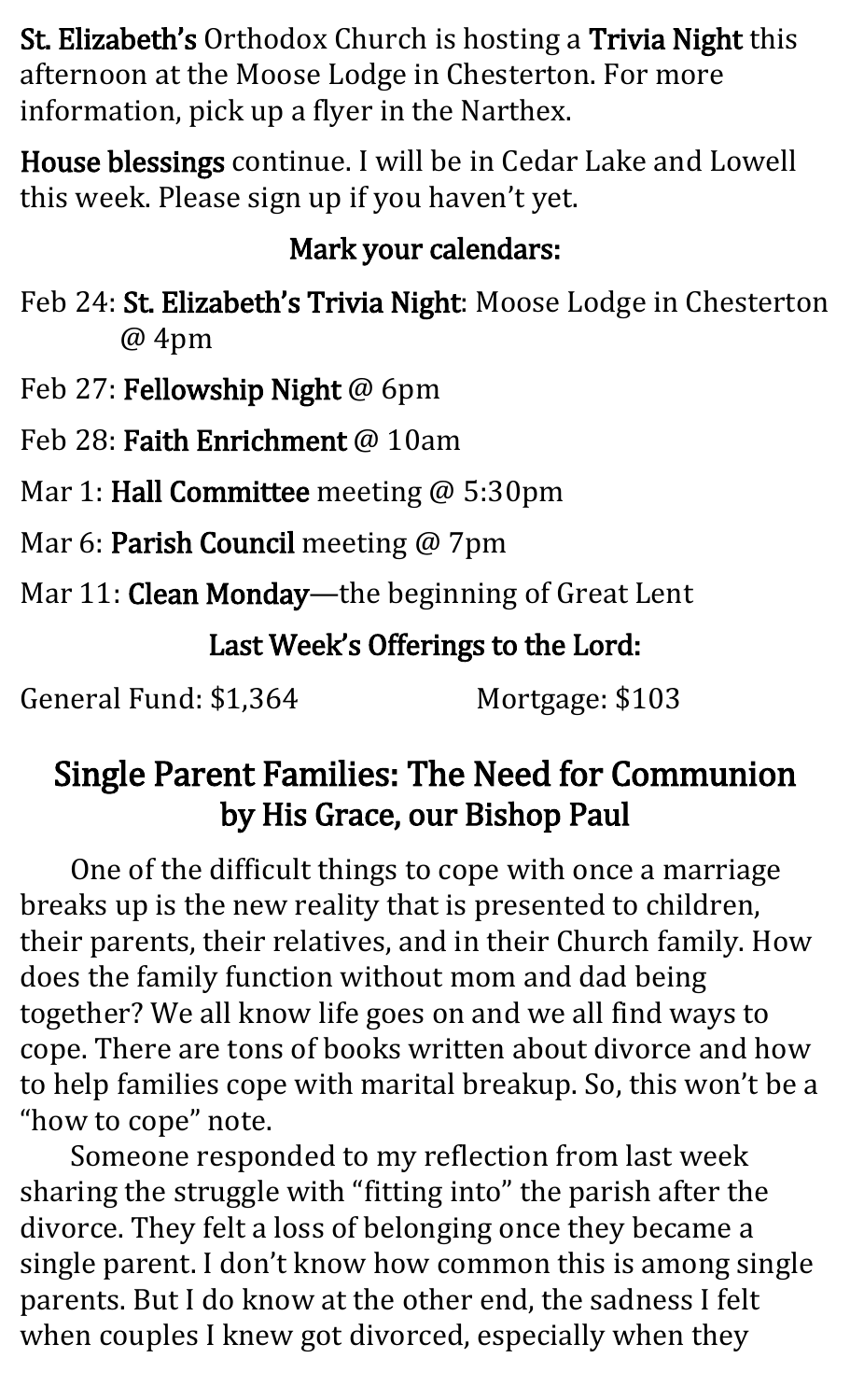St. Elizabeth's Orthodox Church is hosting a Trivia Night this afternoon at the Moose Lodge in Chesterton. For more information, pick up a flyer in the Narthex.

House blessings continue. I will be in Cedar Lake and Lowell this week. Please sign up if you haven't yet.

### Mark your calendars:

Feb 24: St. Elizabeth's Trivia Night: Moose Lodge in Chesterton @ 4pm

Feb 27: Fellowship Night @ 6pm

Feb 28: Faith Enrichment @ 10am

Mar 1: **Hall Committee** meeting @ 5:30pm

Mar 6: Parish Council meeting @ 7pm

Mar 11: Clean Monday—the beginning of Great Lent

Last Week's Offerings to the Lord:

General Fund: \$1,364 Mortgage: \$103

## Single Parent Families: The Need for Communion by His Grace, our Bishop Paul

One of the difficult things to cope with once a marriage breaks up is the new reality that is presented to children, their parents, their relatives, and in their Church family. How does the family function without mom and dad being together? We all know life goes on and we all find ways to cope. There are tons of books written about divorce and how to help families cope with marital breakup. So, this won't be a "how to cope" note.

Someone responded to my reflection from last week sharing the struggle with "fitting into" the parish after the divorce. They felt a loss of belonging once they became a single parent. I don't know how common this is among single parents. But I do know at the other end, the sadness I felt when couples I knew got divorced, especially when they